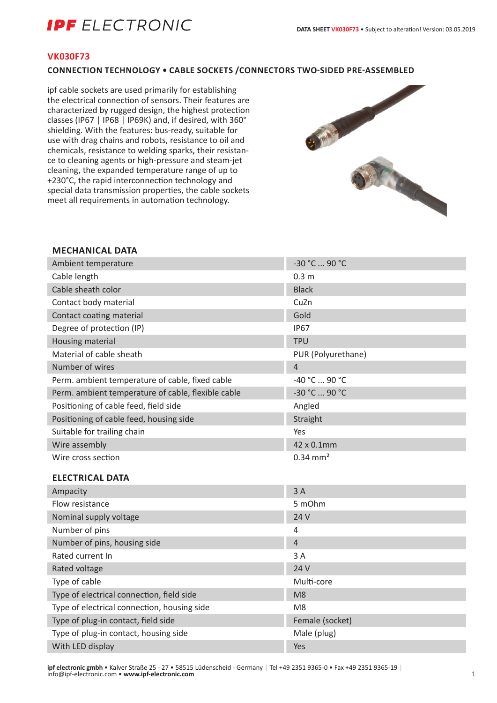# **IPF** ELECTRONIC

#### **VK030F73**

### **CONNECTION TECHNOLOGY • CABLE SOCKETS /CONNECTORS TWO-SIDED PRE-ASSEMBLED**

ipf cable sockets are used primarily for establishing the electrical connection of sensors. Their features are characterized by rugged design, the highest protection classes (IP67 | IP68 | IP69K) and, if desired, with 360° shielding. With the features: bus-ready, suitable for use with drag chains and robots, resistance to oil and chemicals, resistance to welding sparks, their resistance to cleaning agents or high-pressure and steam-jet cleaning, the expanded temperature range of up to +230°C, the rapid interconnection technology and special data transmission properties, the cable sockets meet all requirements in automation technology.



#### **MECHANICAL DATA**

| Ambient temperature                                | -30 °C  90 °C         |
|----------------------------------------------------|-----------------------|
| Cable length                                       | 0.3 <sub>m</sub>      |
| Cable sheath color                                 | <b>Black</b>          |
| Contact body material                              | CuZn                  |
| Contact coating material                           | Gold                  |
| Degree of protection (IP)                          | <b>IP67</b>           |
| Housing material                                   | <b>TPU</b>            |
| Material of cable sheath                           | PUR (Polyurethane)    |
| Number of wires                                    | $\overline{4}$        |
| Perm. ambient temperature of cable, fixed cable    | -40 °C  90 °C         |
| Perm. ambient temperature of cable, flexible cable | -30 °C  90 °C         |
| Positioning of cable feed, field side              | Angled                |
| Positioning of cable feed, housing side            | Straight              |
| Suitable for trailing chain                        | Yes                   |
| Wire assembly                                      | 42 x 0.1mm            |
| Wire cross section                                 | $0.34 \, \text{mm}^2$ |
| <b>ELECTRICAL DATA</b>                             |                       |
| Ampacity                                           | 3A                    |
| Flow resistance                                    | 5 mOhm                |
| Nominal supply voltage                             | 24 V                  |
| Number of pins                                     | $\overline{4}$        |
| Number of pins, housing side                       | $\overline{4}$        |
| Rated current In                                   | 3 A                   |
| Rated voltage                                      | 24 V                  |
| Type of cable                                      | Multi-core            |
| Type of electrical connection, field side          | M <sub>8</sub>        |
| Type of electrical connection, housing side        | M <sub>8</sub>        |
| Type of plug-in contact, field side                | Female (socket)       |
| Type of plug-in contact, housing side              | Male (plug)           |
| With LED display                                   | Yes                   |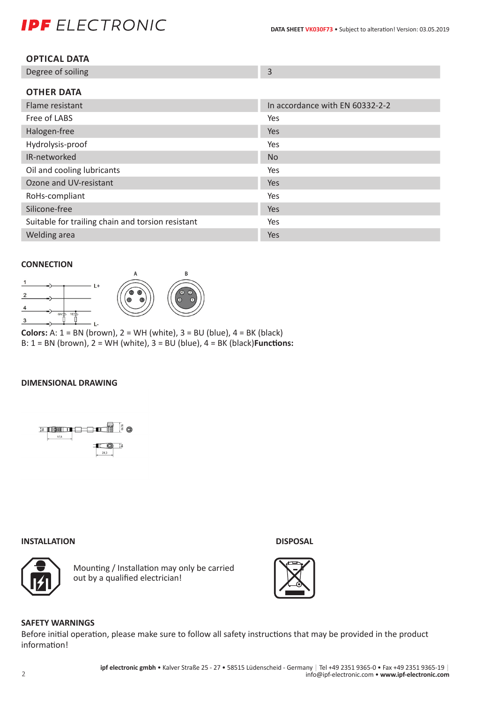# **IPF** ELECTRONIC

| <b>OPTICAL DATA</b> |
|---------------------|
|---------------------|

| Degree of soiling |  |
|-------------------|--|
|                   |  |

| <b>OTHER DATA</b>                                 |                                 |
|---------------------------------------------------|---------------------------------|
| Flame resistant                                   | In accordance with EN 60332-2-2 |
| Free of LABS                                      | Yes                             |
| Halogen-free                                      | <b>Yes</b>                      |
| Hydrolysis-proof                                  | Yes                             |
| IR-networked                                      | <b>No</b>                       |
| Oil and cooling lubricants                        | Yes                             |
| Ozone and UV-resistant                            | <b>Yes</b>                      |
| RoHs-compliant                                    | Yes                             |
| Silicone-free                                     | Yes                             |
| Suitable for trailing chain and torsion resistant | Yes                             |
| Welding area                                      | <b>Yes</b>                      |

#### **CONNECTION**



**Colors:** A:  $1 = BN$  (brown),  $2 = WH$  (white),  $3 = BU$  (blue),  $4 = BK$  (black) B: 1 = BN (brown), 2 = WH (white), 3 = BU (blue), 4 = BK (black)**Functions:**

#### **DIMENSIONAL DRAWING**



#### **INSTALLATION DISPOSAL**



Mounting / Installation may only be carried out by a qualified electrician!





### **SAFETY WARNINGS**

Before initial operation, please make sure to follow all safety instructions that may be provided in the product information!